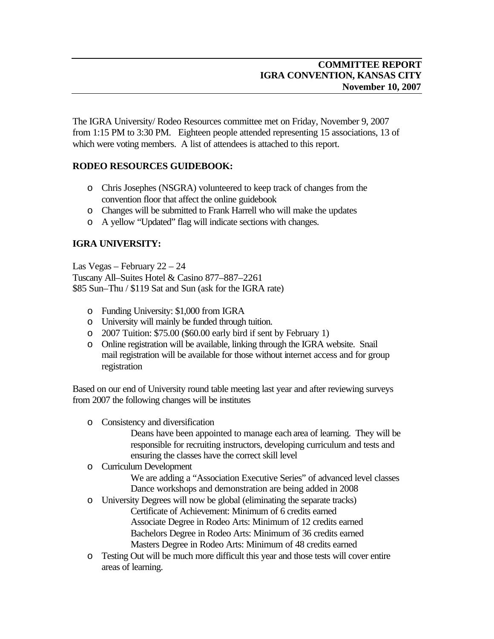The IGRA University/ Rodeo Resources committee met on Friday, November 9, 2007 from 1:15 PM to 3:30 PM. Eighteen people attended representing 15 associations, 13 of which were voting members. A list of attendees is attached to this report.

## **RODEO RESOURCES GUIDEBOOK:**

- o Chris Josephes (NSGRA) volunteered to keep track of changes from the convention floor that affect the online guidebook
- o Changes will be submitted to Frank Harrell who will make the updates
- o A yellow "Updated" flag will indicate sections with changes.

## **IGRA UNIVERSITY:**

Las Vegas – February 22 – 24 Tuscany All–Suites Hotel & Casino 877–887–2261 \$85 Sun–Thu / \$119 Sat and Sun (ask for the IGRA rate)

- o Funding University: \$1,000 from IGRA
- o University will mainly be funded through tuition.
- o 2007 Tuition: \$75.00 (\$60.00 early bird if sent by February 1)
- o Online registration will be available, linking through the IGRA website. Snail mail registration will be available for those without internet access and for group registration

Based on our end of University round table meeting last year and after reviewing surveys from 2007 the following changes will be institutes

o Consistency and diversification

Deans have been appointed to manage each area of learning. They will be responsible for recruiting instructors, developing curriculum and tests and ensuring the classes have the correct skill level

o Curriculum Development

We are adding a "Association Executive Series" of advanced level classes Dance workshops and demonstration are being added in 2008

- o University Degrees will now be global (eliminating the separate tracks) Certificate of Achievement: Minimum of 6 credits earned Associate Degree in Rodeo Arts: Minimum of 12 credits earned Bachelors Degree in Rodeo Arts: Minimum of 36 credits earned Masters Degree in Rodeo Arts: Minimum of 48 credits earned
- o Testing Out will be much more difficult this year and those tests will cover entire areas of learning.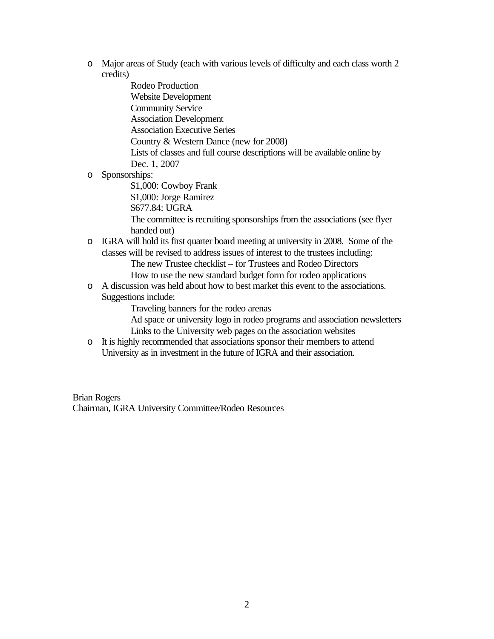o Major areas of Study (each with various levels of difficulty and each class worth 2 credits)

> Rodeo Production Website Development Community Service Association Development Association Executive Series Country & Western Dance (new for 2008) Lists of classes and full course descriptions will be available online by Dec. 1, 2007

o Sponsorships:

\$1,000: Cowboy Frank \$1,000: Jorge Ramirez

\$677.84: UGRA

The committee is recruiting sponsorships from the associations (see flyer handed out)

o IGRA will hold its first quarter board meeting at university in 2008. Some of the classes will be revised to address issues of interest to the trustees including:

The new Trustee checklist – for Trustees and Rodeo Directors How to use the new standard budget form for rodeo applications

o A discussion was held about how to best market this event to the associations. Suggestions include:

Traveling banners for the rodeo arenas

Ad space or university logo in rodeo programs and association newsletters Links to the University web pages on the association websites

o It is highly recommended that associations sponsor their members to attend University as in investment in the future of IGRA and their association.

Brian Rogers Chairman, IGRA University Committee/Rodeo Resources